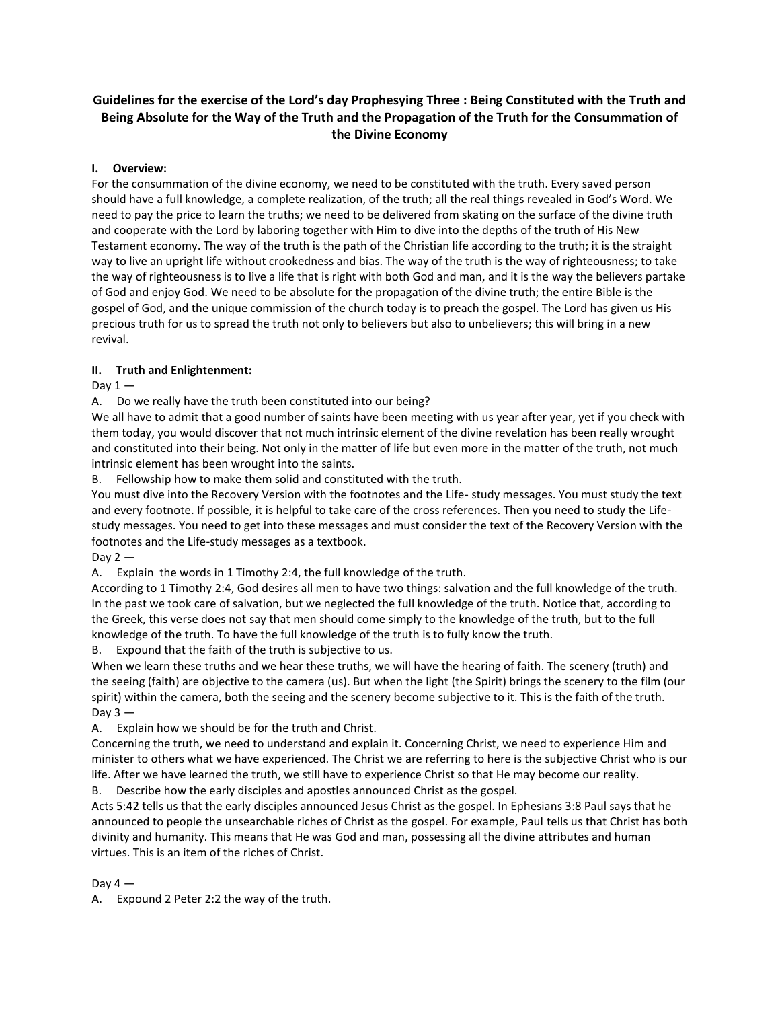# **Guidelines for the exercise of the Lord's day Prophesying Three : Being Constituted with the Truth and Being Absolute for the Way of the Truth and the Propagation of the Truth for the Consummation of the Divine Economy**

## **I. Overview:**

For the consummation of the divine economy, we need to be constituted with the truth. Every saved person should have a full knowledge, a complete realization, of the truth; all the real things revealed in God's Word. We need to pay the price to learn the truths; we need to be delivered from skating on the surface of the divine truth and cooperate with the Lord by laboring together with Him to dive into the depths of the truth of His New Testament economy. The way of the truth is the path of the Christian life according to the truth; it is the straight way to live an upright life without crookedness and bias. The way of the truth is the way of righteousness; to take the way of righteousness is to live a life that is right with both God and man, and it is the way the believers partake of God and enjoy God. We need to be absolute for the propagation of the divine truth; the entire Bible is the gospel of God, and the unique commission of the church today is to preach the gospel. The Lord has given us His precious truth for us to spread the truth not only to believers but also to unbelievers; this will bring in a new revival.

## **II. Truth and Enlightenment:**

Day  $1 -$ 

A. Do we really have the truth been constituted into our being?

We all have to admit that a good number of saints have been meeting with us year after year, yet if you check with them today, you would discover that not much intrinsic element of the divine revelation has been really wrought and constituted into their being. Not only in the matter of life but even more in the matter of the truth, not much intrinsic element has been wrought into the saints.

B. Fellowship how to make them solid and constituted with the truth.

You must dive into the Recovery Version with the footnotes and the Life- study messages. You must study the text and every footnote. If possible, it is helpful to take care of the cross references. Then you need to study the Lifestudy messages. You need to get into these messages and must consider the text of the Recovery Version with the footnotes and the Life-study messages as a textbook.

Day  $2 -$ 

A. Explain the words in 1 Timothy 2:4, the full knowledge of the truth.

According to 1 Timothy 2:4, God desires all men to have two things: salvation and the full knowledge of the truth. In the past we took care of salvation, but we neglected the full knowledge of the truth. Notice that, according to the Greek, this verse does not say that men should come simply to the knowledge of the truth, but to the full knowledge of the truth. To have the full knowledge of the truth is to fully know the truth.

B. Expound that the faith of the truth is subjective to us.

When we learn these truths and we hear these truths, we will have the hearing of faith. The scenery (truth) and the seeing (faith) are objective to the camera (us). But when the light (the Spirit) brings the scenery to the film (our spirit) within the camera, both the seeing and the scenery become subjective to it. This is the faith of the truth. Day  $3 -$ 

A. Explain how we should be for the truth and Christ.

Concerning the truth, we need to understand and explain it. Concerning Christ, we need to experience Him and minister to others what we have experienced. The Christ we are referring to here is the subjective Christ who is our life. After we have learned the truth, we still have to experience Christ so that He may become our reality.

B. Describe how the early disciples and apostles announced Christ as the gospel.

Acts 5:42 tells us that the early disciples announced Jesus Christ as the gospel. In Ephesians 3:8 Paul says that he announced to people the unsearchable riches of Christ as the gospel. For example, Paul tells us that Christ has both divinity and humanity. This means that He was God and man, possessing all the divine attributes and human virtues. This is an item of the riches of Christ.

## Day  $4-$

A. Expound 2 Peter 2:2 the way of the truth.